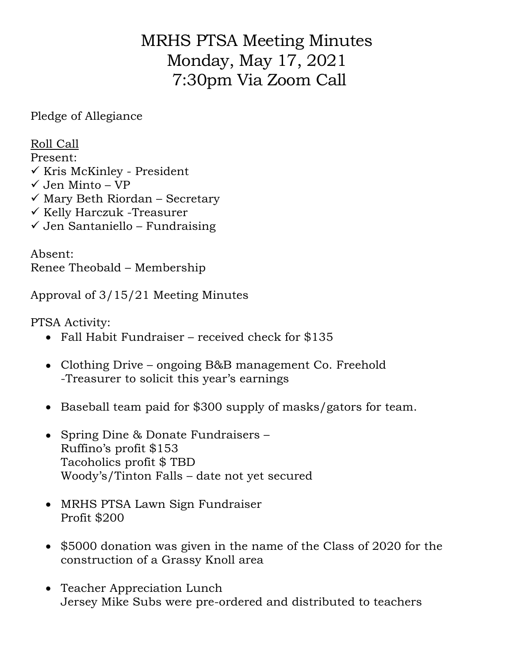## MRHS PTSA Meeting Minutes Monday, May 17, 2021 7:30pm Via Zoom Call

Pledge of Allegiance

Roll Call

Present:  $\checkmark$  Kris McKinley - President  $\checkmark$  Jen Minto – VP  $\checkmark$  Mary Beth Riordan – Secretary

- $\checkmark$  Kelly Harczuk -Treasurer
- $\checkmark$  Jen Santaniello Fundraising

Absent: Renee Theobald – Membership

Approval of 3/15/21 Meeting Minutes

PTSA Activity:

- Fall Habit Fundraiser received check for \$135
- Clothing Drive ongoing B&B management Co. Freehold -Treasurer to solicit this year's earnings
- Baseball team paid for \$300 supply of masks/gators for team.
- Spring Dine & Donate Fundraisers Ruffino's profit \$153 Tacoholics profit \$ TBD Woody's/Tinton Falls – date not yet secured
- MRHS PTSA Lawn Sign Fundraiser Profit \$200
- \$5000 donation was given in the name of the Class of 2020 for the construction of a Grassy Knoll area
- Teacher Appreciation Lunch Jersey Mike Subs were pre-ordered and distributed to teachers